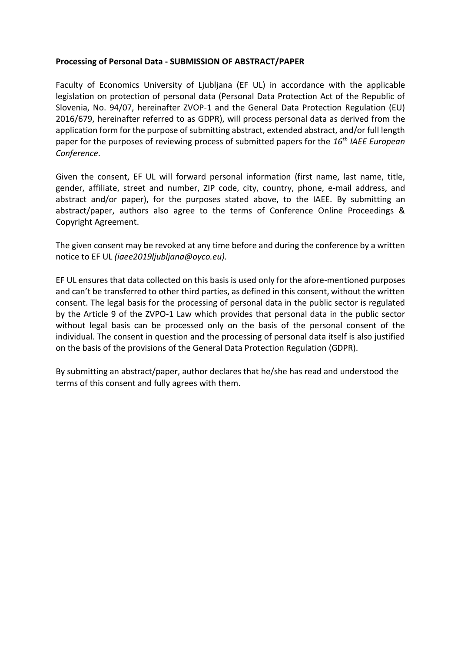## **Processing of Personal Data - SUBMISSION OF ABSTRACT/PAPER**

Faculty of Economics University of Ljubljana (EF UL) in accordance with the applicable legislation on protection of personal data (Personal Data Protection Act of the Republic of Slovenia, No. 94/07, hereinafter ZVOP-1 and the General Data Protection Regulation (EU) 2016/679, hereinafter referred to as GDPR), will process personal data as derived from the application form for the purpose of submitting abstract, extended abstract, and/or full length paper for the purposes of reviewing process of submitted papers for the *16th IAEE European Conference*.

Given the consent, EF UL will forward personal information (first name, last name, title, gender, affiliate, street and number, ZIP code, city, country, phone, e-mail address, and abstract and/or paper), for the purposes stated above, to the IAEE. By submitting an abstract/paper, authors also agree to the terms of Conference Online Proceedings & Copyright Agreement.

The given consent may be revoked at any time before and during the conference by a written notice to EF UL *[\(iaee2019ljubljana@oyco.eu\)](mailto:iaee2019ljubljana@oyco.eu).*

EF UL ensures that data collected on this basis is used only for the afore-mentioned purposes and can't be transferred to other third parties, as defined in this consent, without the written consent. The legal basis for the processing of personal data in the public sector is regulated by the Article 9 of the ZVPO-1 Law which provides that personal data in the public sector without legal basis can be processed only on the basis of the personal consent of the individual. The consent in question and the processing of personal data itself is also justified on the basis of the provisions of the General Data Protection Regulation (GDPR).

By submitting an abstract/paper, author declares that he/she has read and understood the terms of this consent and fully agrees with them.